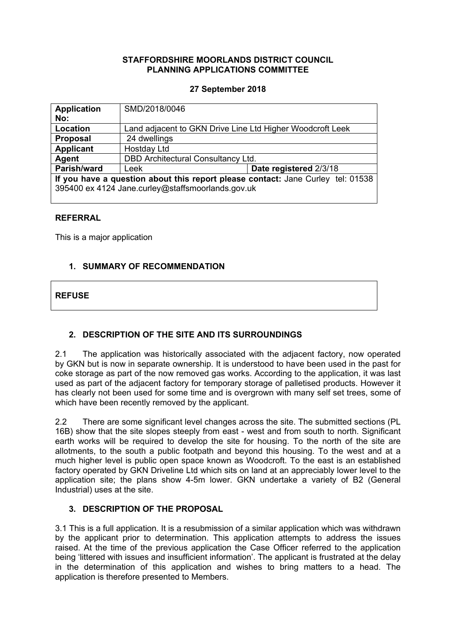## **STAFFORDSHIRE MOORLANDS DISTRICT COUNCIL PLANNING APPLICATIONS COMMITTEE**

## **27 September 2018**

| <b>Application</b>                                                                                                                   | SMD/2018/0046                                             |                        |
|--------------------------------------------------------------------------------------------------------------------------------------|-----------------------------------------------------------|------------------------|
| No:                                                                                                                                  |                                                           |                        |
| Location                                                                                                                             | Land adjacent to GKN Drive Line Ltd Higher Woodcroft Leek |                        |
| <b>Proposal</b>                                                                                                                      | 24 dwellings                                              |                        |
| <b>Applicant</b>                                                                                                                     | Hostday Ltd                                               |                        |
| Agent                                                                                                                                | DBD Architectural Consultancy Ltd.                        |                        |
| Parish/ward                                                                                                                          | Leek                                                      | Date registered 2/3/18 |
| If you have a question about this report please contact: Jane Curley tel: 01538<br>395400 ex 4124 Jane.curley@staffsmoorlands.gov.uk |                                                           |                        |

## **REFERRAL**

This is a major application

## **1. SUMMARY OF RECOMMENDATION**

## **REFUSE**

# **2. DESCRIPTION OF THE SITE AND ITS SURROUNDINGS**

2.1 The application was historically associated with the adjacent factory, now operated by GKN but is now in separate ownership. It is understood to have been used in the past for coke storage as part of the now removed gas works. According to the application, it was last used as part of the adjacent factory for temporary storage of palletised products. However it has clearly not been used for some time and is overgrown with many self set trees, some of which have been recently removed by the applicant.

2.2 There are some significant level changes across the site. The submitted sections (PL 16B) show that the site slopes steeply from east - west and from south to north. Significant earth works will be required to develop the site for housing. To the north of the site are allotments, to the south a public footpath and beyond this housing. To the west and at a much higher level is public open space known as Woodcroft. To the east is an established factory operated by GKN Driveline Ltd which sits on land at an appreciably lower level to the application site; the plans show 4-5m lower. GKN undertake a variety of B2 (General Industrial) uses at the site.

## **3. DESCRIPTION OF THE PROPOSAL**

3.1 This is a full application. It is a resubmission of a similar application which was withdrawn by the applicant prior to determination. This application attempts to address the issues raised. At the time of the previous application the Case Officer referred to the application being 'littered with issues and insufficient information'. The applicant is frustrated at the delay in the determination of this application and wishes to bring matters to a head. The application is therefore presented to Members.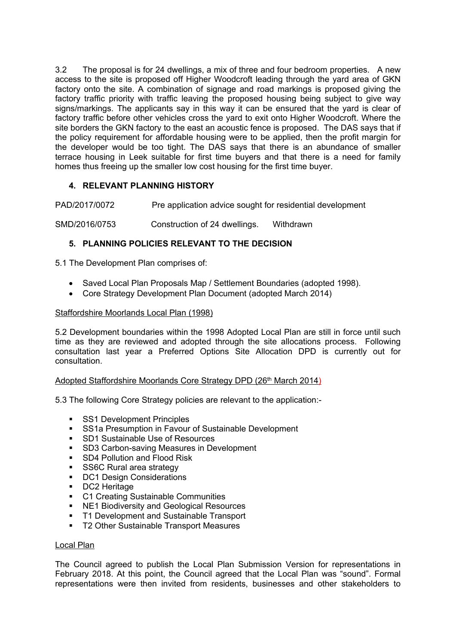3.2 The proposal is for 24 dwellings, a mix of three and four bedroom properties. A new access to the site is proposed off Higher Woodcroft leading through the yard area of GKN factory onto the site. A combination of signage and road markings is proposed giving the factory traffic priority with traffic leaving the proposed housing being subject to give way signs/markings. The applicants say in this way it can be ensured that the yard is clear of factory traffic before other vehicles cross the yard to exit onto Higher Woodcroft. Where the site borders the GKN factory to the east an acoustic fence is proposed. The DAS says that if the policy requirement for affordable housing were to be applied, then the profit margin for the developer would be too tight. The DAS says that there is an abundance of smaller terrace housing in Leek suitable for first time buyers and that there is a need for family homes thus freeing up the smaller low cost housing for the first time buyer.

# **4. RELEVANT PLANNING HISTORY**

PAD/2017/0072 Pre application advice sought for residential development

SMD/2016/0753 Construction of 24 dwellings. Withdrawn

# **5. PLANNING POLICIES RELEVANT TO THE DECISION**

5.1 The Development Plan comprises of:

- Saved Local Plan Proposals Map / Settlement Boundaries (adopted 1998).
- Core Strategy Development Plan Document (adopted March 2014)

### Staffordshire Moorlands Local Plan (1998)

5.2 Development boundaries within the 1998 Adopted Local Plan are still in force until such time as they are reviewed and adopted through the site allocations process. Following consultation last year a Preferred Options Site Allocation DPD is currently out for consultation.

### Adopted Staffordshire Moorlands Core Strategy DPD (26<sup>th</sup> March 2014)

5.3 The following Core Strategy policies are relevant to the application:-

- **SS1 Development Principles**
- **SS1a Presumption in Favour of Sustainable Development**
- **SD1 Sustainable Use of Resources**
- SD3 Carbon-saving Measures in Development
- **SD4 Pollution and Flood Risk**
- SS6C Rural area strategy
- **DC1 Design Considerations**
- **DC2** Heritage
- C1 Creating Sustainable Communities
- **NE1 Biodiversity and Geological Resources**
- **T1 Development and Sustainable Transport**
- **T2 Other Sustainable Transport Measures**

### Local Plan

The Council agreed to publish the Local Plan Submission Version for representations in February 2018. At this point, the Council agreed that the Local Plan was "sound". Formal representations were then invited from residents, businesses and other stakeholders to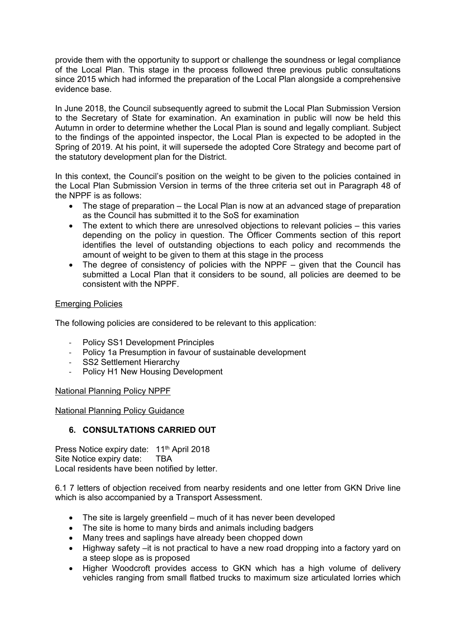provide them with the opportunity to support or challenge the soundness or legal compliance of the Local Plan. This stage in the process followed three previous public consultations since 2015 which had informed the preparation of the Local Plan alongside a comprehensive evidence base.

In June 2018, the Council subsequently agreed to submit the Local Plan Submission Version to the Secretary of State for examination. An examination in public will now be held this Autumn in order to determine whether the Local Plan is sound and legally compliant. Subject to the findings of the appointed inspector, the Local Plan is expected to be adopted in the Spring of 2019. At his point, it will supersede the adopted Core Strategy and become part of the statutory development plan for the District.

In this context, the Council's position on the weight to be given to the policies contained in the Local Plan Submission Version in terms of the three criteria set out in Paragraph 48 of the NPPF is as follows:

- The stage of preparation the Local Plan is now at an advanced stage of preparation as the Council has submitted it to the SoS for examination
- The extent to which there are unresolved objections to relevant policies this varies depending on the policy in question. The Officer Comments section of this report identifies the level of outstanding objections to each policy and recommends the amount of weight to be given to them at this stage in the process
- The degree of consistency of policies with the NPPF given that the Council has submitted a Local Plan that it considers to be sound, all policies are deemed to be consistent with the NPPF.

## Emerging Policies

The following policies are considered to be relevant to this application:

- Policy SS1 Development Principles
- Policy 1a Presumption in favour of sustainable development
- SS2 Settlement Hierarchy
- Policy H1 New Housing Development

National Planning Policy NPPF

## National Planning Policy Guidance

# **6. CONSULTATIONS CARRIED OUT**

Press Notice expiry date: 11<sup>th</sup> April 2018 Site Notice expiry date: TBA Local residents have been notified by letter.

6.1 7 letters of objection received from nearby residents and one letter from GKN Drive line which is also accompanied by a Transport Assessment.

- The site is largely greenfield much of it has never been developed
- The site is home to many birds and animals including badgers
- Many trees and saplings have already been chopped down
- Highway safety –it is not practical to have a new road dropping into a factory yard on a steep slope as is proposed
- Higher Woodcroft provides access to GKN which has a high volume of delivery vehicles ranging from small flatbed trucks to maximum size articulated lorries which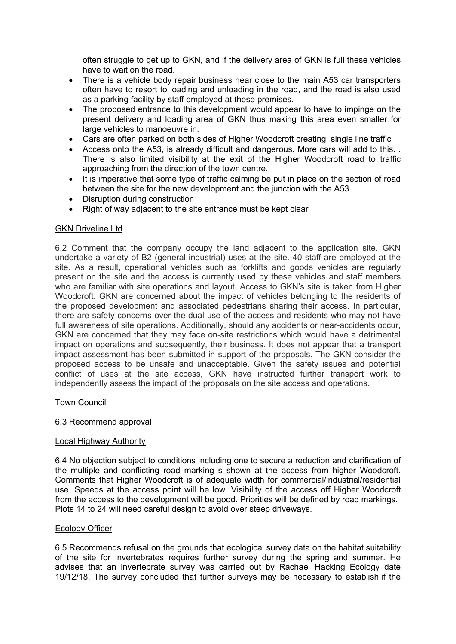often struggle to get up to GKN, and if the delivery area of GKN is full these vehicles have to wait on the road.

- There is a vehicle body repair business near close to the main A53 car transporters often have to resort to loading and unloading in the road, and the road is also used as a parking facility by staff employed at these premises.
- The proposed entrance to this development would appear to have to impinge on the present delivery and loading area of GKN thus making this area even smaller for large vehicles to manoeuvre in.
- Cars are often parked on both sides of Higher Woodcroft creating single line traffic
- Access onto the A53, is already difficult and dangerous. More cars will add to this. . There is also limited visibility at the exit of the Higher Woodcroft road to traffic approaching from the direction of the town centre.
- It is imperative that some type of traffic calming be put in place on the section of road between the site for the new development and the junction with the A53.
- Disruption during construction
- Right of way adjacent to the site entrance must be kept clear

## GKN Driveline Ltd

6.2 Comment that the company occupy the land adjacent to the application site. GKN undertake a variety of B2 (general industrial) uses at the site. 40 staff are employed at the site. As a result, operational vehicles such as forklifts and goods vehicles are regularly present on the site and the access is currently used by these vehicles and staff members who are familiar with site operations and layout. Access to GKN's site is taken from Higher Woodcroft. GKN are concerned about the impact of vehicles belonging to the residents of the proposed development and associated pedestrians sharing their access. In particular, there are safety concerns over the dual use of the access and residents who may not have full awareness of site operations. Additionally, should any accidents or near-accidents occur, GKN are concerned that they may face on-site restrictions which would have a detrimental impact on operations and subsequently, their business. It does not appear that a transport impact assessment has been submitted in support of the proposals. The GKN consider the proposed access to be unsafe and unacceptable. Given the safety issues and potential conflict of uses at the site access, GKN have instructed further transport work to independently assess the impact of the proposals on the site access and operations.

## Town Council

## 6.3 Recommend approval

## Local Highway Authority

6.4 No objection subject to conditions including one to secure a reduction and clarification of the multiple and conflicting road marking s shown at the access from higher Woodcroft. Comments that Higher Woodcroft is of adequate width for commercial/industrial/residential use. Speeds at the access point will be low. Visibility of the access off Higher Woodcroft from the access to the development will be good. Priorities will be defined by road markings. Plots 14 to 24 will need careful design to avoid over steep driveways.

## Ecology Officer

6.5 Recommends refusal on the grounds that ecological survey data on the habitat suitability of the site for invertebrates requires further survey during the spring and summer. He advises that an invertebrate survey was carried out by Rachael Hacking Ecology date 19/12/18. The survey concluded that further surveys may be necessary to establish if the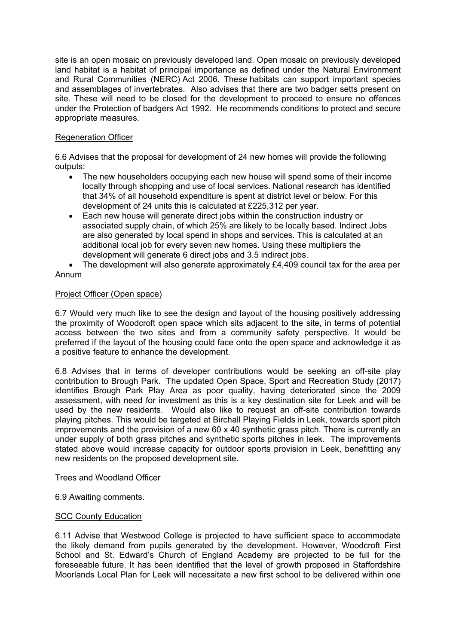site is an open mosaic on previously developed land. Open mosaic on previously developed land habitat is a habitat of principal importance as defined under the Natural Environment and Rural Communities (NERC) Act 2006. These habitats can support important species and assemblages of invertebrates. Also advises that there are two badger setts present on site. These will need to be closed for the development to proceed to ensure no offences under the Protection of badgers Act 1992. He recommends conditions to protect and secure appropriate measures.

## Regeneration Officer

6.6 Advises that the proposal for development of 24 new homes will provide the following outputs:

- The new householders occupying each new house will spend some of their income locally through shopping and use of local services. National research has identified that 34% of all household expenditure is spent at district level or below. For this development of 24 units this is calculated at £225,312 per year.
- Each new house will generate direct jobs within the construction industry or associated supply chain, of which 25% are likely to be locally based. Indirect Jobs are also generated by local spend in shops and services. This is calculated at an additional local job for every seven new homes. Using these multipliers the development will generate 6 direct jobs and 3.5 indirect jobs.
- The development will also generate approximately £4,409 council tax for the area per Annum

## Project Officer (Open space)

6.7 Would very much like to see the design and layout of the housing positively addressing the proximity of Woodcroft open space which sits adjacent to the site, in terms of potential access between the two sites and from a community safety perspective. It would be preferred if the layout of the housing could face onto the open space and acknowledge it as a positive feature to enhance the development.

6.8 Advises that in terms of developer contributions would be seeking an off-site play contribution to Brough Park. The updated Open Space, Sport and Recreation Study (2017) identifies Brough Park Play Area as poor quality, having deteriorated since the 2009 assessment, with need for investment as this is a key destination site for Leek and will be used by the new residents. Would also like to request an off-site contribution towards playing pitches. This would be targeted at Birchall Playing Fields in Leek, towards sport pitch improvements and the provision of a new 60 x 40 synthetic grass pitch. There is currently an under supply of both grass pitches and synthetic sports pitches in leek. The improvements stated above would increase capacity for outdoor sports provision in Leek, benefitting any new residents on the proposed development site.

### Trees and Woodland Officer

6.9 Awaiting comments.

## SCC County Education

6.11 Advise that Westwood College is projected to have sufficient space to accommodate the likely demand from pupils generated by the development. However, Woodcroft First School and St. Edward's Church of England Academy are projected to be full for the foreseeable future. It has been identified that the level of growth proposed in Staffordshire Moorlands Local Plan for Leek will necessitate a new first school to be delivered within one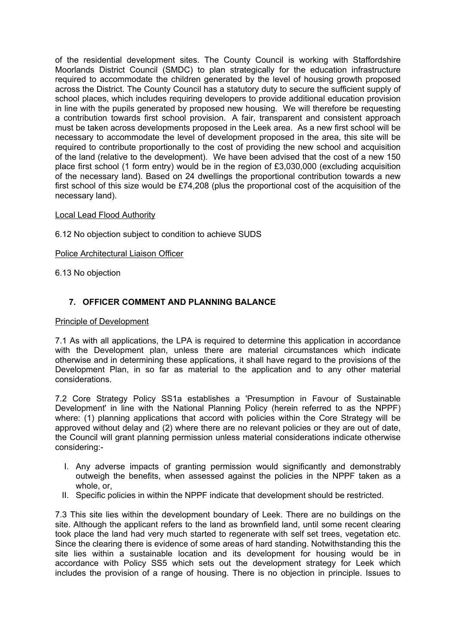of the residential development sites. The County Council is working with Staffordshire Moorlands District Council (SMDC) to plan strategically for the education infrastructure required to accommodate the children generated by the level of housing growth proposed across the District. The County Council has a statutory duty to secure the sufficient supply of school places, which includes requiring developers to provide additional education provision in line with the pupils generated by proposed new housing. We will therefore be requesting a contribution towards first school provision. A fair, transparent and consistent approach must be taken across developments proposed in the Leek area. As a new first school will be necessary to accommodate the level of development proposed in the area, this site will be required to contribute proportionally to the cost of providing the new school and acquisition of the land (relative to the development). We have been advised that the cost of a new 150 place first school (1 form entry) would be in the region of £3,030,000 (excluding acquisition of the necessary land). Based on 24 dwellings the proportional contribution towards a new first school of this size would be £74,208 (plus the proportional cost of the acquisition of the necessary land).

## Local Lead Flood Authority

6.12 No objection subject to condition to achieve SUDS

### Police Architectural Liaison Officer

6.13 No objection

## **7. OFFICER COMMENT AND PLANNING BALANCE**

### Principle of Development

7.1 As with all applications, the LPA is required to determine this application in accordance with the Development plan, unless there are material circumstances which indicate otherwise and in determining these applications, it shall have regard to the provisions of the Development Plan, in so far as material to the application and to any other material considerations.

7.2 Core Strategy Policy SS1a establishes a 'Presumption in Favour of Sustainable Development' in line with the National Planning Policy (herein referred to as the NPPF) where: (1) planning applications that accord with policies within the Core Strategy will be approved without delay and (2) where there are no relevant policies or they are out of date, the Council will grant planning permission unless material considerations indicate otherwise considering:-

- I. Any adverse impacts of granting permission would significantly and demonstrably outweigh the benefits, when assessed against the policies in the NPPF taken as a whole, or,
- II. Specific policies in within the NPPF indicate that development should be restricted.

7.3 This site lies within the development boundary of Leek. There are no buildings on the site. Although the applicant refers to the land as brownfield land, until some recent clearing took place the land had very much started to regenerate with self set trees, vegetation etc. Since the clearing there is evidence of some areas of hard standing. Notwithstanding this the site lies within a sustainable location and its development for housing would be in accordance with Policy SS5 which sets out the development strategy for Leek which includes the provision of a range of housing. There is no objection in principle. Issues to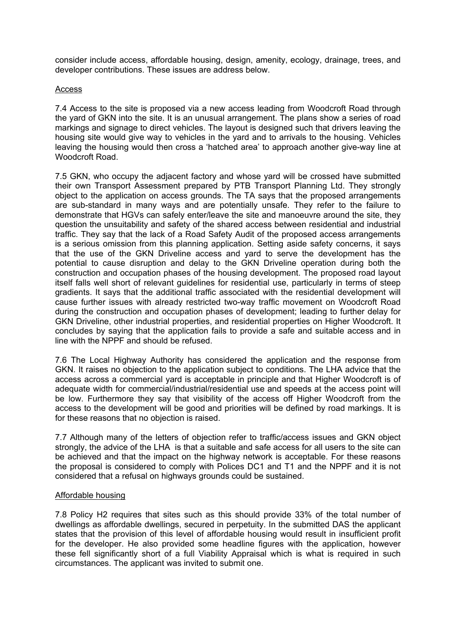consider include access, affordable housing, design, amenity, ecology, drainage, trees, and developer contributions. These issues are address below.

### Access

7.4 Access to the site is proposed via a new access leading from Woodcroft Road through the yard of GKN into the site. It is an unusual arrangement. The plans show a series of road markings and signage to direct vehicles. The layout is designed such that drivers leaving the housing site would give way to vehicles in the yard and to arrivals to the housing. Vehicles leaving the housing would then cross a 'hatched area' to approach another give-way line at Woodcroft Road.

7.5 GKN, who occupy the adjacent factory and whose yard will be crossed have submitted their own Transport Assessment prepared by PTB Transport Planning Ltd. They strongly object to the application on access grounds. The TA says that the proposed arrangements are sub-standard in many ways and are potentially unsafe. They refer to the failure to demonstrate that HGVs can safely enter/leave the site and manoeuvre around the site, they question the unsuitability and safety of the shared access between residential and industrial traffic. They say that the lack of a Road Safety Audit of the proposed access arrangements is a serious omission from this planning application. Setting aside safety concerns, it says that the use of the GKN Driveline access and yard to serve the development has the potential to cause disruption and delay to the GKN Driveline operation during both the construction and occupation phases of the housing development. The proposed road layout itself falls well short of relevant guidelines for residential use, particularly in terms of steep gradients. It says that the additional traffic associated with the residential development will cause further issues with already restricted two-way traffic movement on Woodcroft Road during the construction and occupation phases of development; leading to further delay for GKN Driveline, other industrial properties, and residential properties on Higher Woodcroft. It concludes by saying that the application fails to provide a safe and suitable access and in line with the NPPF and should be refused.

7.6 The Local Highway Authority has considered the application and the response from GKN. It raises no objection to the application subject to conditions. The LHA advice that the access across a commercial yard is acceptable in principle and that Higher Woodcroft is of adequate width for commercial/industrial/residential use and speeds at the access point will be low. Furthermore they say that visibility of the access off Higher Woodcroft from the access to the development will be good and priorities will be defined by road markings. It is for these reasons that no objection is raised.

7.7 Although many of the letters of objection refer to traffic/access issues and GKN object strongly, the advice of the LHA is that a suitable and safe access for all users to the site can be achieved and that the impact on the highway network is acceptable. For these reasons the proposal is considered to comply with Polices DC1 and T1 and the NPPF and it is not considered that a refusal on highways grounds could be sustained.

## Affordable housing

7.8 Policy H2 requires that sites such as this should provide 33% of the total number of dwellings as affordable dwellings, secured in perpetuity. In the submitted DAS the applicant states that the provision of this level of affordable housing would result in insufficient profit for the developer. He also provided some headline figures with the application, however these fell significantly short of a full Viability Appraisal which is what is required in such circumstances. The applicant was invited to submit one.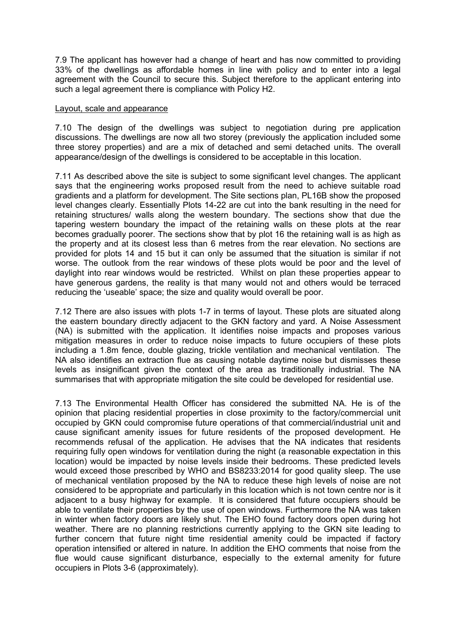7.9 The applicant has however had a change of heart and has now committed to providing 33% of the dwellings as affordable homes in line with policy and to enter into a legal agreement with the Council to secure this. Subject therefore to the applicant entering into such a legal agreement there is compliance with Policy H2.

### Layout, scale and appearance

7.10 The design of the dwellings was subject to negotiation during pre application discussions. The dwellings are now all two storey (previously the application included some three storey properties) and are a mix of detached and semi detached units. The overall appearance/design of the dwellings is considered to be acceptable in this location.

7.11 As described above the site is subject to some significant level changes. The applicant says that the engineering works proposed result from the need to achieve suitable road gradients and a platform for development. The Site sections plan, PL16B show the proposed level changes clearly. Essentially Plots 14-22 are cut into the bank resulting in the need for retaining structures/ walls along the western boundary. The sections show that due the tapering western boundary the impact of the retaining walls on these plots at the rear becomes gradually poorer. The sections show that by plot 16 the retaining wall is as high as the property and at its closest less than 6 metres from the rear elevation. No sections are provided for plots 14 and 15 but it can only be assumed that the situation is similar if not worse. The outlook from the rear windows of these plots would be poor and the level of daylight into rear windows would be restricted. Whilst on plan these properties appear to have generous gardens, the reality is that many would not and others would be terraced reducing the 'useable' space; the size and quality would overall be poor.

7.12 There are also issues with plots 1-7 in terms of layout. These plots are situated along the eastern boundary directly adjacent to the GKN factory and yard. A Noise Assessment (NA) is submitted with the application. It identifies noise impacts and proposes various mitigation measures in order to reduce noise impacts to future occupiers of these plots including a 1.8m fence, double glazing, trickle ventilation and mechanical ventilation. The NA also identifies an extraction flue as causing notable daytime noise but dismisses these levels as insignificant given the context of the area as traditionally industrial. The NA summarises that with appropriate mitigation the site could be developed for residential use.

7.13 The Environmental Health Officer has considered the submitted NA. He is of the opinion that placing residential properties in close proximity to the factory/commercial unit occupied by GKN could compromise future operations of that commercial/industrial unit and cause significant amenity issues for future residents of the proposed development. He recommends refusal of the application. He advises that the NA indicates that residents requiring fully open windows for ventilation during the night (a reasonable expectation in this location) would be impacted by noise levels inside their bedrooms. These predicted levels would exceed those prescribed by WHO and BS8233:2014 for good quality sleep. The use of mechanical ventilation proposed by the NA to reduce these high levels of noise are not considered to be appropriate and particularly in this location which is not town centre nor is it adjacent to a busy highway for example. It is considered that future occupiers should be able to ventilate their properties by the use of open windows. Furthermore the NA was taken in winter when factory doors are likely shut. The EHO found factory doors open during hot weather. There are no planning restrictions currently applying to the GKN site leading to further concern that future night time residential amenity could be impacted if factory operation intensified or altered in nature. In addition the EHO comments that noise from the flue would cause significant disturbance, especially to the external amenity for future occupiers in Plots 3-6 (approximately).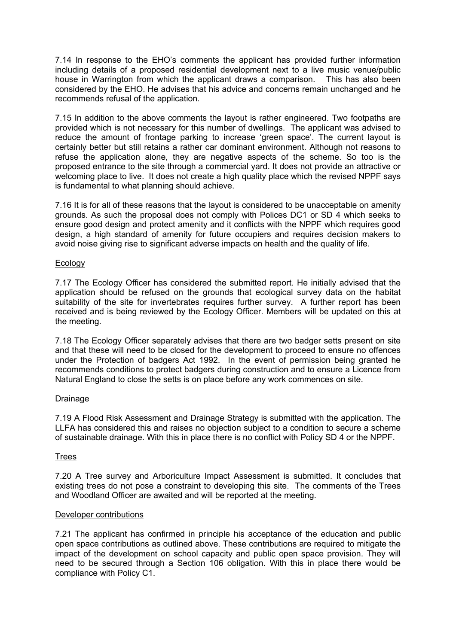7.14 In response to the EHO's comments the applicant has provided further information including details of a proposed residential development next to a live music venue/public house in Warrington from which the applicant draws a comparison. This has also been considered by the EHO. He advises that his advice and concerns remain unchanged and he recommends refusal of the application.

7.15 In addition to the above comments the layout is rather engineered. Two footpaths are provided which is not necessary for this number of dwellings. The applicant was advised to reduce the amount of frontage parking to increase 'green space'. The current layout is certainly better but still retains a rather car dominant environment. Although not reasons to refuse the application alone, they are negative aspects of the scheme. So too is the proposed entrance to the site through a commercial yard. It does not provide an attractive or welcoming place to live. It does not create a high quality place which the revised NPPF says is fundamental to what planning should achieve.

7.16 It is for all of these reasons that the layout is considered to be unacceptable on amenity grounds. As such the proposal does not comply with Polices DC1 or SD 4 which seeks to ensure good design and protect amenity and it conflicts with the NPPF which requires good design, a high standard of amenity for future occupiers and requires decision makers to avoid noise giving rise to significant adverse impacts on health and the quality of life.

### Ecology

7.17 The Ecology Officer has considered the submitted report. He initially advised that the application should be refused on the grounds that ecological survey data on the habitat suitability of the site for invertebrates requires further survey. A further report has been received and is being reviewed by the Ecology Officer. Members will be updated on this at the meeting.

7.18 The Ecology Officer separately advises that there are two badger setts present on site and that these will need to be closed for the development to proceed to ensure no offences under the Protection of badgers Act 1992. In the event of permission being granted he recommends conditions to protect badgers during construction and to ensure a Licence from Natural England to close the setts is on place before any work commences on site.

## Drainage

7.19 A Flood Risk Assessment and Drainage Strategy is submitted with the application. The LLFA has considered this and raises no objection subject to a condition to secure a scheme of sustainable drainage. With this in place there is no conflict with Policy SD 4 or the NPPF.

## Trees

7.20 A Tree survey and Arboriculture Impact Assessment is submitted. It concludes that existing trees do not pose a constraint to developing this site. The comments of the Trees and Woodland Officer are awaited and will be reported at the meeting.

### Developer contributions

7.21 The applicant has confirmed in principle his acceptance of the education and public open space contributions as outlined above. These contributions are required to mitigate the impact of the development on school capacity and public open space provision. They will need to be secured through a Section 106 obligation. With this in place there would be compliance with Policy C1.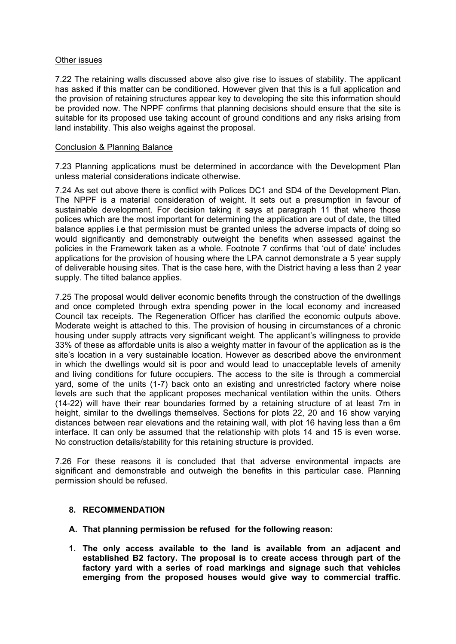### Other issues

7.22 The retaining walls discussed above also give rise to issues of stability. The applicant has asked if this matter can be conditioned. However given that this is a full application and the provision of retaining structures appear key to developing the site this information should be provided now. The NPPF confirms that planning decisions should ensure that the site is suitable for its proposed use taking account of ground conditions and any risks arising from land instability. This also weighs against the proposal.

### Conclusion & Planning Balance

7.23 Planning applications must be determined in accordance with the Development Plan unless material considerations indicate otherwise.

7.24 As set out above there is conflict with Polices DC1 and SD4 of the Development Plan. The NPPF is a material consideration of weight. It sets out a presumption in favour of sustainable development. For decision taking it says at paragraph 11 that where those polices which are the most important for determining the application are out of date, the tilted balance applies i.e that permission must be granted unless the adverse impacts of doing so would significantly and demonstrably outweight the benefits when assessed against the policies in the Framework taken as a whole. Footnote 7 confirms that 'out of date' includes applications for the provision of housing where the LPA cannot demonstrate a 5 year supply of deliverable housing sites. That is the case here, with the District having a less than 2 year supply. The tilted balance applies.

7.25 The proposal would deliver economic benefits through the construction of the dwellings and once completed through extra spending power in the local economy and increased Council tax receipts. The Regeneration Officer has clarified the economic outputs above. Moderate weight is attached to this. The provision of housing in circumstances of a chronic housing under supply attracts very significant weight. The applicant's willingness to provide 33% of these as affordable units is also a weighty matter in favour of the application as is the site's location in a very sustainable location. However as described above the environment in which the dwellings would sit is poor and would lead to unacceptable levels of amenity and living conditions for future occupiers. The access to the site is through a commercial yard, some of the units (1-7) back onto an existing and unrestricted factory where noise levels are such that the applicant proposes mechanical ventilation within the units. Others (14-22) will have their rear boundaries formed by a retaining structure of at least 7m in height, similar to the dwellings themselves. Sections for plots 22, 20 and 16 show varying distances between rear elevations and the retaining wall, with plot 16 having less than a 6m interface. It can only be assumed that the relationship with plots 14 and 15 is even worse. No construction details/stability for this retaining structure is provided.

7.26 For these reasons it is concluded that that adverse environmental impacts are significant and demonstrable and outweigh the benefits in this particular case. Planning permission should be refused.

## **8. RECOMMENDATION**

- **A. That planning permission be refused for the following reason:**
- **1. The only access available to the land is available from an adjacent and established B2 factory. The proposal is to create access through part of the factory yard with a series of road markings and signage such that vehicles emerging from the proposed houses would give way to commercial traffic.**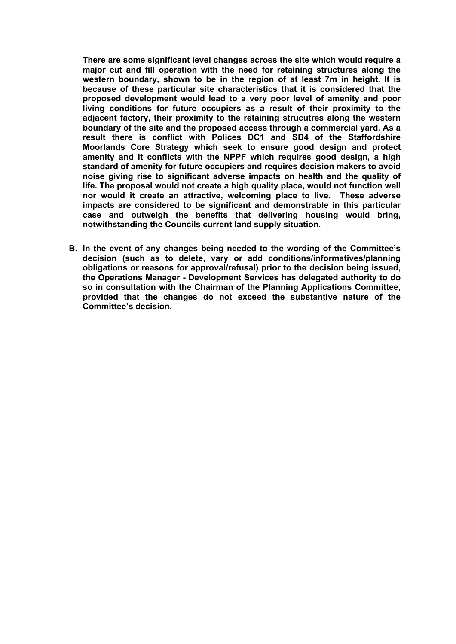**There are some significant level changes across the site which would require a major cut and fill operation with the need for retaining structures along the western boundary, shown to be in the region of at least 7m in height. It is because of these particular site characteristics that it is considered that the proposed development would lead to a very poor level of amenity and poor living conditions for future occupiers as a result of their proximity to the adjacent factory, their proximity to the retaining strucutres along the western boundary of the site and the proposed access through a commercial yard. As a result there is conflict with Polices DC1 and SD4 of the Staffordshire Moorlands Core Strategy which seek to ensure good design and protect amenity and it conflicts with the NPPF which requires good design, a high standard of amenity for future occupiers and requires decision makers to avoid noise giving rise to significant adverse impacts on health and the quality of life. The proposal would not create a high quality place, would not function well nor would it create an attractive, welcoming place to live. These adverse impacts are considered to be significant and demonstrable in this particular case and outweigh the benefits that delivering housing would bring, notwithstanding the Councils current land supply situation.** 

**B. In the event of any changes being needed to the wording of the Committee's decision (such as to delete, vary or add conditions/informatives/planning obligations or reasons for approval/refusal) prior to the decision being issued, the Operations Manager - Development Services has delegated authority to do so in consultation with the Chairman of the Planning Applications Committee, provided that the changes do not exceed the substantive nature of the Committee's decision.**